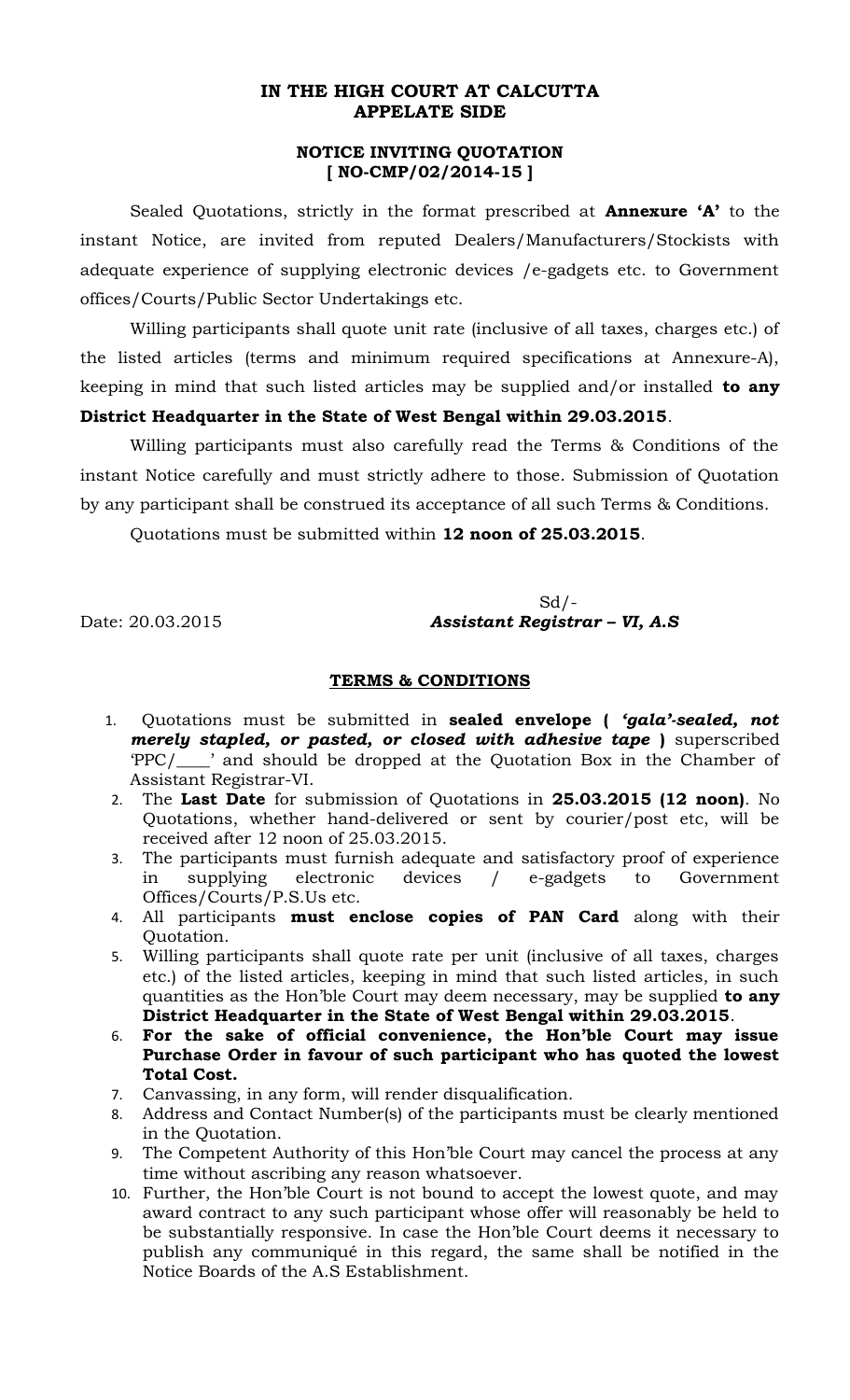## **IN THE HIGH COURT AT CALCUTTA APPELATE SIDE**

## **NOTICE INVITING QUOTATION [ NO-CMP/02/2014-15 ]**

Sealed Quotations, strictly in the format prescribed at **Annexure 'A'** to the instant Notice, are invited from reputed Dealers/Manufacturers/Stockists with adequate experience of supplying electronic devices /e-gadgets etc. to Government offices/Courts/Public Sector Undertakings etc.

Willing participants shall quote unit rate (inclusive of all taxes, charges etc.) of the listed articles (terms and minimum required specifications at Annexure-A), keeping in mind that such listed articles may be supplied and/or installed **to any District Headquarter in the State of West Bengal within 29.03.2015**.

Willing participants must also carefully read the Terms & Conditions of the instant Notice carefully and must strictly adhere to those. Submission of Quotation by any participant shall be construed its acceptance of all such Terms & Conditions.

Quotations must be submitted within **12 noon of 25.03.2015**.

 $Sd$  /-Date: 20.03.2015 *Assistant Registrar – VI, A.S*

## **TERMS & CONDITIONS**

- 1. Quotations must be submitted in **sealed envelope (** *'gala'-sealed, not merely stapled, or pasted, or closed with adhesive tape* **)** superscribed 'PPC/\_\_\_\_' and should be dropped at the Quotation Box in the Chamber of Assistant Registrar-VI.
- 2. The **Last Date** for submission of Quotations in **25.03.2015 (12 noon)**. No Quotations, whether hand-delivered or sent by courier/post etc, will be received after 12 noon of 25.03.2015.
- 3. The participants must furnish adequate and satisfactory proof of experience in supplying electronic devices / e-gadgets to Government Offices/Courts/P.S.Us etc.
- 4. All participants **must enclose copies of PAN Card** along with their Quotation.
- 5. Willing participants shall quote rate per unit (inclusive of all taxes, charges etc.) of the listed articles, keeping in mind that such listed articles, in such quantities as the Hon'ble Court may deem necessary, may be supplied **to any District Headquarter in the State of West Bengal within 29.03.2015**.
- 6. **For the sake of official convenience, the Hon'ble Court may issue Purchase Order in favour of such participant who has quoted the lowest Total Cost.**
- 7. Canvassing, in any form, will render disqualification.
- 8. Address and Contact Number(s) of the participants must be clearly mentioned in the Quotation.
- 9. The Competent Authority of this Hon'ble Court may cancel the process at any time without ascribing any reason whatsoever.
- 10. Further, the Hon'ble Court is not bound to accept the lowest quote, and may award contract to any such participant whose offer will reasonably be held to be substantially responsive. In case the Hon'ble Court deems it necessary to publish any communiqué in this regard, the same shall be notified in the Notice Boards of the A.S Establishment.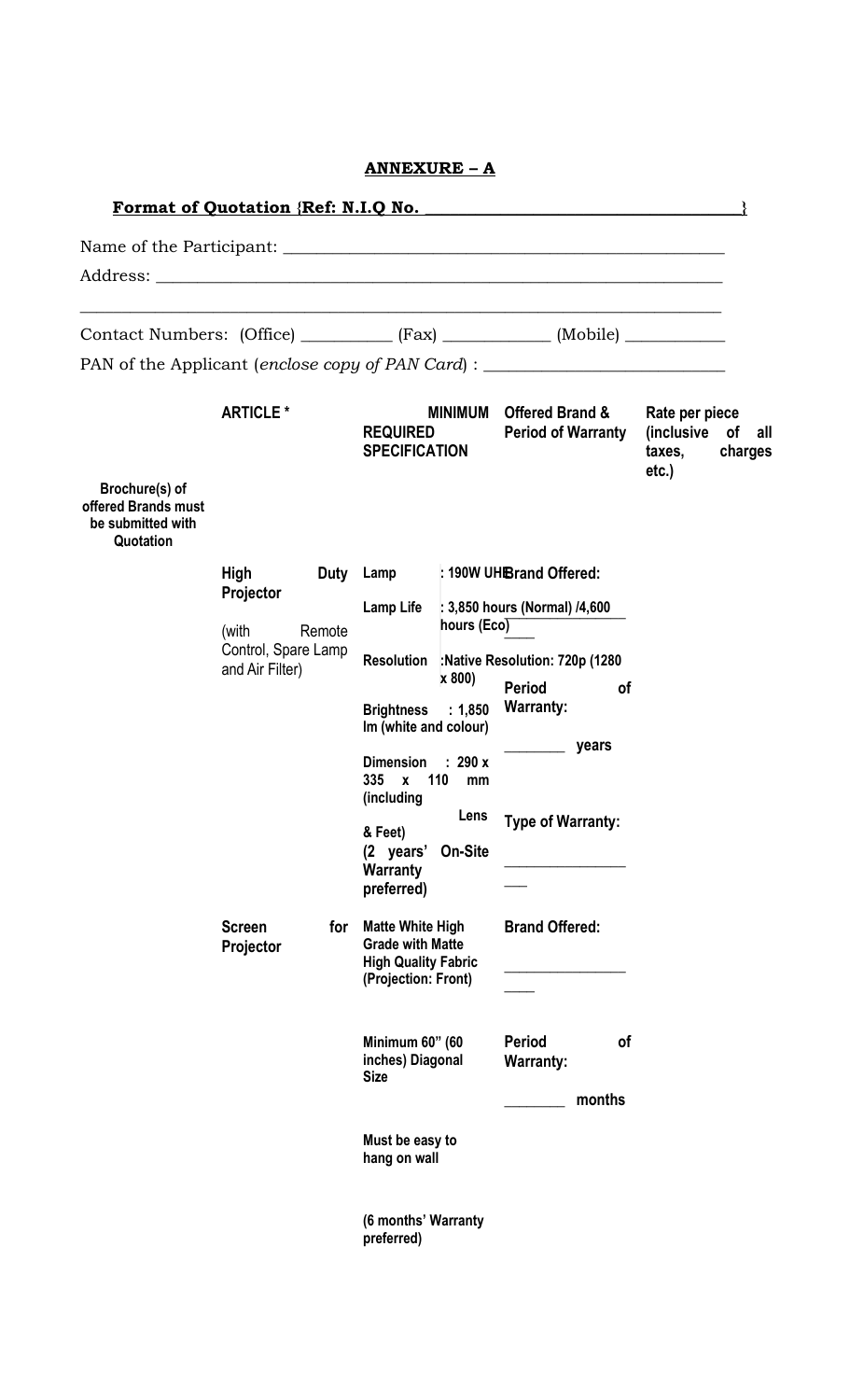|                                                                                 |                            |                                                           | <b>ANNEXURE - A</b>                                                                                                                       |                                 |                                                                                  |                                                                   |
|---------------------------------------------------------------------------------|----------------------------|-----------------------------------------------------------|-------------------------------------------------------------------------------------------------------------------------------------------|---------------------------------|----------------------------------------------------------------------------------|-------------------------------------------------------------------|
|                                                                                 |                            |                                                           |                                                                                                                                           |                                 | Format of Quotation {Ref: N.I.Q No.                                              |                                                                   |
|                                                                                 |                            |                                                           |                                                                                                                                           |                                 |                                                                                  |                                                                   |
|                                                                                 |                            |                                                           |                                                                                                                                           |                                 |                                                                                  |                                                                   |
| Contact Numbers: (Office) ___________ (Fax) ____________ (Mobile) _____________ |                            |                                                           |                                                                                                                                           |                                 |                                                                                  |                                                                   |
|                                                                                 |                            |                                                           |                                                                                                                                           |                                 | PAN of the Applicant (enclose copy of PAN Card) : ______________________________ |                                                                   |
|                                                                                 | <b>ARTICLE *</b>           |                                                           | <b>REQUIRED</b><br><b>SPECIFICATION</b>                                                                                                   |                                 | MINIMUM Offered Brand &<br><b>Period of Warranty</b>                             | Rate per piece<br>(inclusive of all<br>taxes, charges<br>$etc.$ ) |
| Brochure(s) of<br>offered Brands must<br>be submitted with<br>Quotation         |                            |                                                           |                                                                                                                                           |                                 |                                                                                  |                                                                   |
|                                                                                 | High<br>Projector          |                                                           |                                                                                                                                           |                                 | Duty Lamp : 190W UHBrand Offered:                                                |                                                                   |
|                                                                                 |                            | (with<br>Remote<br>Control, Spare Lamp<br>and Air Filter) | Lamp Life : 3,850 hours (Normal) /4,600<br>hours $(Eco)$<br>Resolution : Native Resolution: 720p (1280)<br>x 800)                         |                                 |                                                                                  |                                                                   |
|                                                                                 |                            |                                                           |                                                                                                                                           |                                 |                                                                                  |                                                                   |
|                                                                                 |                            |                                                           |                                                                                                                                           |                                 | <b>Period</b><br><b>of</b><br><b>Warranty:</b>                                   |                                                                   |
|                                                                                 |                            |                                                           | Brightness : 1,850<br>Im (white and colour)                                                                                               |                                 |                                                                                  |                                                                   |
|                                                                                 |                            |                                                           | Dimension : 290 x<br>335 x 110<br>mm<br>(including<br>Lens<br><b>Type of Warranty:</b><br>& Feet)<br>(2 years' On-Site<br><b>Warranty</b> | years                           |                                                                                  |                                                                   |
|                                                                                 |                            |                                                           |                                                                                                                                           |                                 |                                                                                  |                                                                   |
|                                                                                 |                            |                                                           | preferred)                                                                                                                                |                                 |                                                                                  |                                                                   |
|                                                                                 | <b>Screen</b><br>Projector | for                                                       | <b>Matte White High</b><br><b>Grade with Matte</b><br><b>High Quality Fabric</b>                                                          |                                 | <b>Brand Offered:</b>                                                            |                                                                   |
|                                                                                 |                            |                                                           | (Projection: Front)                                                                                                                       |                                 |                                                                                  |                                                                   |
|                                                                                 |                            |                                                           | Minimum 60" (60<br>inches) Diagonal<br><b>Size</b>                                                                                        |                                 | <b>Period</b><br>of<br><b>Warranty:</b><br>months                                |                                                                   |
|                                                                                 |                            |                                                           |                                                                                                                                           | Must be easy to<br>hang on wall |                                                                                  |                                                                   |
|                                                                                 |                            |                                                           | (6 months' Warranty<br>preferred)                                                                                                         |                                 |                                                                                  |                                                                   |